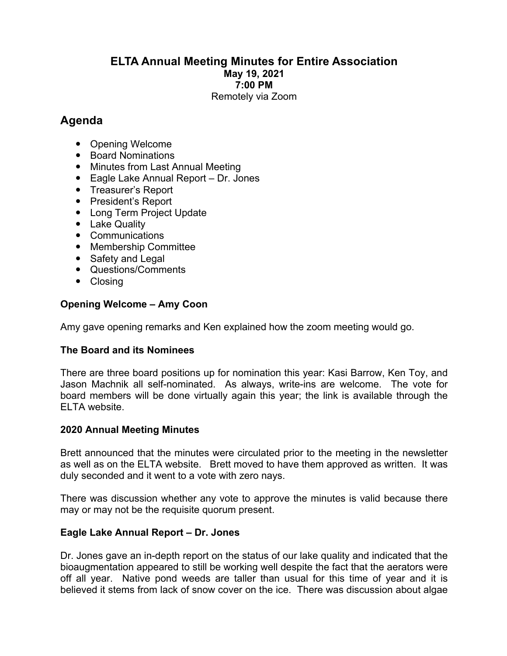# **ELTA Annual Meeting Minutes for Entire Association May 19, 2021 7:00 PM** Remotely via Zoom

# **Agenda**

- Opening Welcome
- Board Nominations
- Minutes from Last Annual Meeting
- Eagle Lake Annual Report Dr. Jones
- Treasurer's Report
- President's Report
- Long Term Project Update
- Lake Quality
- Communications
- Membership Committee
- Safety and Legal
- Questions/Comments
- Closing

# **Opening Welcome – Amy Coon**

Amy gave opening remarks and Ken explained how the zoom meeting would go.

### **The Board and its Nominees**

There are three board positions up for nomination this year: Kasi Barrow, Ken Toy, and Jason Machnik all self-nominated. As always, write-ins are welcome. The vote for board members will be done virtually again this year; the link is available through the ELTA website.

### **2020 Annual Meeting Minutes**

Brett announced that the minutes were circulated prior to the meeting in the newsletter as well as on the ELTA website. Brett moved to have them approved as written. It was duly seconded and it went to a vote with zero nays.

There was discussion whether any vote to approve the minutes is valid because there may or may not be the requisite quorum present.

### **Eagle Lake Annual Report – Dr. Jones**

Dr. Jones gave an in-depth report on the status of our lake quality and indicated that the bioaugmentation appeared to still be working well despite the fact that the aerators were off all year. Native pond weeds are taller than usual for this time of year and it is believed it stems from lack of snow cover on the ice. There was discussion about algae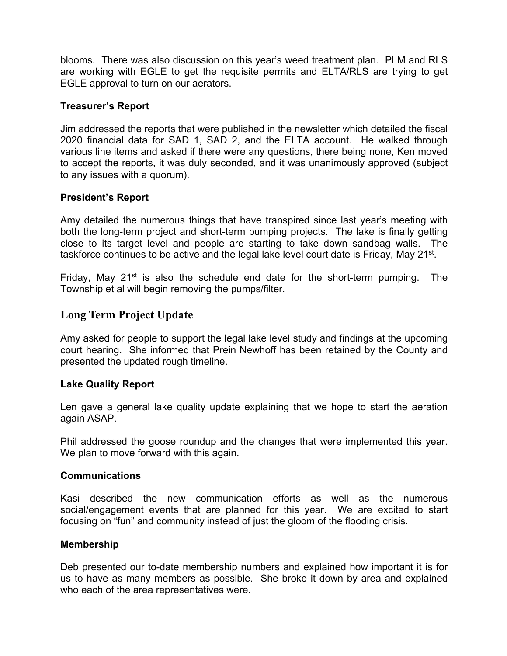blooms. There was also discussion on this year's weed treatment plan. PLM and RLS are working with EGLE to get the requisite permits and ELTA/RLS are trying to get EGLE approval to turn on our aerators.

### **Treasurer's Report**

Jim addressed the reports that were published in the newsletter which detailed the fiscal 2020 financial data for SAD 1, SAD 2, and the ELTA account. He walked through various line items and asked if there were any questions, there being none, Ken moved to accept the reports, it was duly seconded, and it was unanimously approved (subject to any issues with a quorum).

### **President's Report**

Amy detailed the numerous things that have transpired since last year's meeting with both the long-term project and short-term pumping projects. The lake is finally getting close to its target level and people are starting to take down sandbag walls. The taskforce continues to be active and the legal lake level court date is Friday, May 21<sup>st</sup>.

Friday, May  $21^{st}$  is also the schedule end date for the short-term pumping. The Township et al will begin removing the pumps/filter.

# **Long Term Project Update**

Amy asked for people to support the legal lake level study and findings at the upcoming court hearing. She informed that Prein Newhoff has been retained by the County and presented the updated rough timeline.

### **Lake Quality Report**

Len gave a general lake quality update explaining that we hope to start the aeration again ASAP.

Phil addressed the goose roundup and the changes that were implemented this year. We plan to move forward with this again.

### **Communications**

Kasi described the new communication efforts as well as the numerous social/engagement events that are planned for this year. We are excited to start focusing on "fun" and community instead of just the gloom of the flooding crisis.

### **Membership**

Deb presented our to-date membership numbers and explained how important it is for us to have as many members as possible. She broke it down by area and explained who each of the area representatives were.